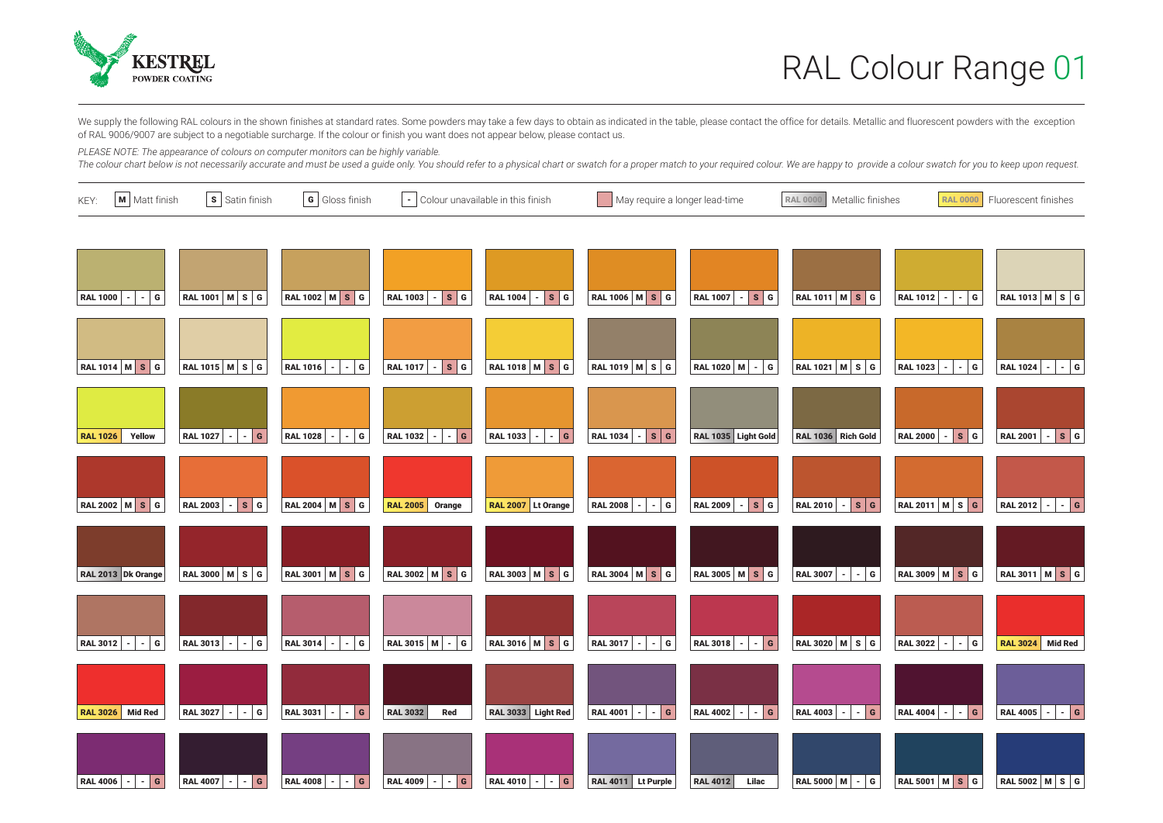

We supply the following RAL colours in the shown finishes at standard rates. Some powders may take a few days to obtain as indicated in the table, please contact the office for details. Metallic and fluorescent powders wit of RAL 9006/9007 are subject to a negotiable surcharge. If the colour or finish you want does not appear below, please contact us.

*PLEASE NOTE: The appearance of colours on computer monitors can be highly variable.* 

The colour chart below is not necessarily accurate and must be used a guide only. You should refer to a physical chart or swatch for a proper match to your required colour. We are happy to provide a colour swatch for you t

| M   Matt finish<br>KEY:           | s Satin finish                     | $\boxed{\mathbf{G}}$ Gloss finish      |                                              | $\vert \cdot \vert$ Colour unavailable in this finish |                             | May require a longer lead-time |                                    | Metallic finishes<br><b>RAL 0000</b> | Fluorescent finishes                              |  |
|-----------------------------------|------------------------------------|----------------------------------------|----------------------------------------------|-------------------------------------------------------|-----------------------------|--------------------------------|------------------------------------|--------------------------------------|---------------------------------------------------|--|
|                                   |                                    |                                        |                                              |                                                       |                             |                                |                                    |                                      |                                                   |  |
| ∣G.<br><b>RAL 1000</b>            | RAL 1001   M   S   G               | RAL 1002 M S G                         | s  <sub>G</sub><br><b>RAL 1003</b><br>$\sim$ | $ s $ G<br><b>RAL 1004</b><br>$\sim$                  | <b>RAL 1006 M S G</b>       | $ s$ $G$<br><b>RAL 1007</b>    | RAL 1011 M S G                     | $-$ G<br><b>RAL 1012</b>             | <b>RAL 1013 M S G</b>                             |  |
| <b>RAL 1014 M S G</b>             | RAL 1015 M S G                     | <b>RAL 1016</b><br>$  \circ$           | $s _G$<br><b>RAL 1017</b><br>$\mathbf{r}$    | <b>RAL 1018 M S G</b>                                 | RAL 1019 MSG                | RAL 1020 M - G                 | RAL 1021 $ M S G$                  | $-$ G<br><b>RAL 1023</b>             | $ \vert \cdot \vert$ G<br><b>RAL 1024</b>         |  |
| Yellow<br><b>RAL 1026</b>         | <b>RAL 1027</b><br>$-$ G<br>$\sim$ | <b>RAL 1028</b><br>$-$ G               | <b>RAL 1032</b><br>$-$ G                     | <b>RAL 1033</b><br>$ G$                               | <b>RAL 1034</b><br>$  s $ G | RAL 1035 Light Gold            | RAL 1036 Rich Gold                 | $  s $ G<br><b>RAL 2000</b>          | $ \vert$ s $\vert$ G<br><b>RAL 2001</b>           |  |
| RAL 2002 M S G                    | <b>RAL 2003</b><br>$  s $ G        | RAL 2004 $\vert$ M $\vert$ S $\vert$ G | <b>RAL 2005</b><br>Orange                    | RAL 2007 Lt Orange                                    | <b>RAL 2008</b><br>$-$ G    | $  s $ G<br><b>RAL 2009</b>    | <b>RAL 2010</b><br>$  -  $ s $ $ G | <b>RAL 2011</b> M S G                | <b>RAL 2012</b><br>$-$ G<br>$\sim$ 1              |  |
| RAL 2013 Dk Orange                | RAL 3000 M S G                     | RAL 3001 M S G                         | RAL 3002 M S G                               | RAL 3003 M S G                                        | RAL 3004 M S G              | RAL 3005 M S G                 | <b>RAL 3007</b><br>$  G$           | RAL 3009 M S G                       | <b>RAL 3011 M S G</b>                             |  |
| G<br><b>RAL 3012</b>              | <b>RAL 3013</b><br>G               | <b>RAL 3014</b><br>$-$ G               | RAL 3015 M - G                               | RAL 3016 M S G                                        | <b>RAL 3017</b><br>G        | <b>RAL 3018</b><br>$ G$        | RAL 3020 M S G                     | <b>RAL 3022</b><br>$ G$              | <b>Mid Red</b><br><b>RAL 3024</b>                 |  |
| <b>Mid Red</b><br><b>RAL 3026</b> | <b>RAL 3027</b><br>$-$ G<br>$\sim$ | <b>RAL 3031</b><br>$-$ G               | <b>RAL 3032</b><br>Red                       | <b>RAL 3033</b><br><b>Light Red</b>                   | <b>RAL 4001</b><br>$-$ G    | <b>RAL 4002</b><br>$  G$       | <b>RAL 4003</b><br>$-$ G           | <b>RAL 4004</b><br>$-$ G             | <b>RAL 4005</b><br>$\left  \cdot \right $ - $ $ G |  |
| <b>RAL 4006</b><br>$-$ G          | <b>RAL 4007</b><br>$-$ G<br>$\sim$ | <b>RAL 4008</b><br>$-$ G<br>$\sim$     | <b>RAL 4009</b><br>$ \boxed{G}$              | <b>RAL 4010</b><br>$-$ G                              | RAL 4011 Lt Purple          | Lilac<br><b>RAL 4012</b>       | RAL 5000 $ M  -  G $               | RAL 5001 M S G                       | RAL 5002 M S G                                    |  |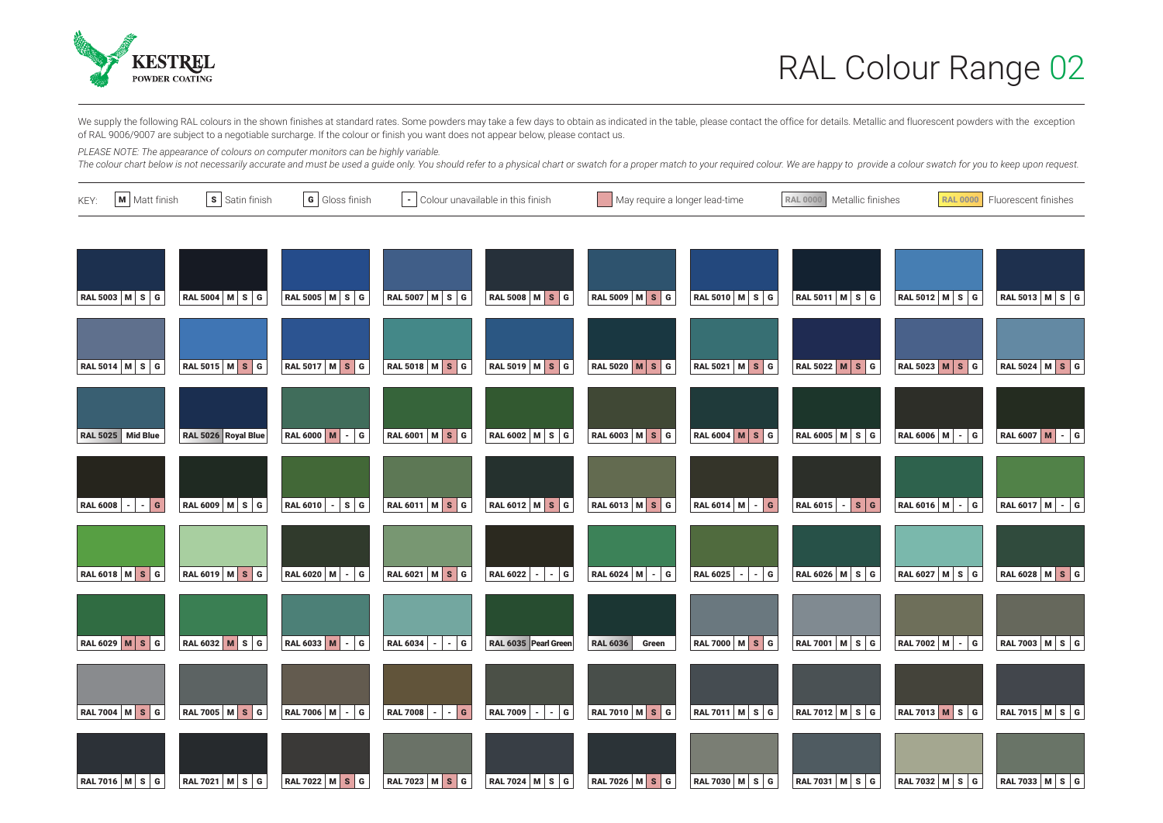

We supply the following RAL colours in the shown finishes at standard rates. Some powders may take a few days to obtain as indicated in the table, please contact the office for details. Metallic and fluorescent powders wit of RAL 9006/9007 are subject to a negotiable surcharge. If the colour or finish you want does not appear below, please contact us.

*PLEASE NOTE: The appearance of colours on computer monitors can be highly variable.* 

The colour chart below is not necessarily accurate and must be used a guide only. You should refer to a physical chart or swatch for a proper match to your required colour. We are happy to provide a colour swatch for you t

| KEY: | M Matt finish         | S Satin finish<br>G Gloss finish<br>$\vert \cdot \vert$ Colour unavailable in this finish |                       | May require a longer lead-time         |                         | RAL 0000<br>Metallic finishes | <b>RAL 0000</b>                            | Fluorescent finishes     |                      |                |
|------|-----------------------|-------------------------------------------------------------------------------------------|-----------------------|----------------------------------------|-------------------------|-------------------------------|--------------------------------------------|--------------------------|----------------------|----------------|
|      | RAL 5003 M S G        | RAL 5004 $M \,$ S G                                                                       | RAL 5005   M   S   G  | RAL 5007   M   S   G                   | <b>RAL 5008 M S G</b>   | RAL 5009 $M \succeq S$ G      | RAL 5010 M S G                             | $RAL$ 5011 $ M $ s $ G $ | RAL 5012 M S G       | RAL 5013 M S G |
|      | <b>RAL 5014 M S G</b> | RAL 5015 M S G                                                                            | <b>RAL 5017 M S G</b> | RAL 5018 M S G                         | RAL 5019 M S G          | <b>RAL 5020 M S G</b>         | RAL 5021 M S G                             | RAL 5022 M S G           | RAL 5023 M S G       | RAL 5024 M S G |
|      | RAL 5025 Mid Blue     | RAL 5026 Royal Blue                                                                       | RAL 6000 M - G        | RAL 6001 M S G                         | RAL 6002   M   S   G    | RAL 6003 M S G                | RAL 6004 M S G                             | RAL 6005   M   S   G     | RAL 6006 $ M  -  G $ | RAL 6007 M - G |
|      | RAL 6008 - - G        | RAL 6009 M S G                                                                            | RAL 6010 - SG         | RAL 6011 M S G                         | RAL 6012 M S G          | RAL 6013 M S G                | RAL 6014 M - G                             | RAL 6015 - SG            | RAL 6016 M - G       | RAL 6017 M - G |
|      | RAL 6018 M S G        | RAL 6019 M S G                                                                            | RAL 6020 M - G        | RAL 6021 M S G                         | $ G$<br>RAL 6022        | RAL 6024 M - G                | RAL 6025 $\vert \cdot \vert \cdot \vert$ G | RAL 6026 M S G           | RAL 6027   M   S   G | RAL 6028 M S G |
|      | RAL 6029 M S G        | RAL 6032 $M$ S G                                                                          | RAL 6033 $M - G$      | <b>RAL 6034</b><br>$  -  $ G<br>$\sim$ | RAL 6035 Pearl Green    | <b>RAL 6036</b><br>Green      | RAL 7000 M S G                             | RAL 7001   M   S   G     | RAL 7002 M - G       | RAL 7003 M S G |
|      | RAL 7004 M S G        | RAL 7005 M S G                                                                            | RAL 7006 M - G        | <b>RAL 7008</b><br>$-$ G               | <b>RAL 7009</b><br>$ G$ | RAL 7010 M S G                | RAL 7011   M   S   G                       | RAL 7012 M S G           | RAL 7013 M S G       | RAL 7015 M S G |
|      | <b>RAL 7016 M S G</b> | RAL 7021 M S G                                                                            | RAL 7022 M S G        | RAL 7023 M S G                         | RAL 7024 M S G          | RAL 7026 M S G                | RAL 7030 M S G                             | RAL 7031 M S G           | RAL 7032 M S G       | RAL 7033 M S G |